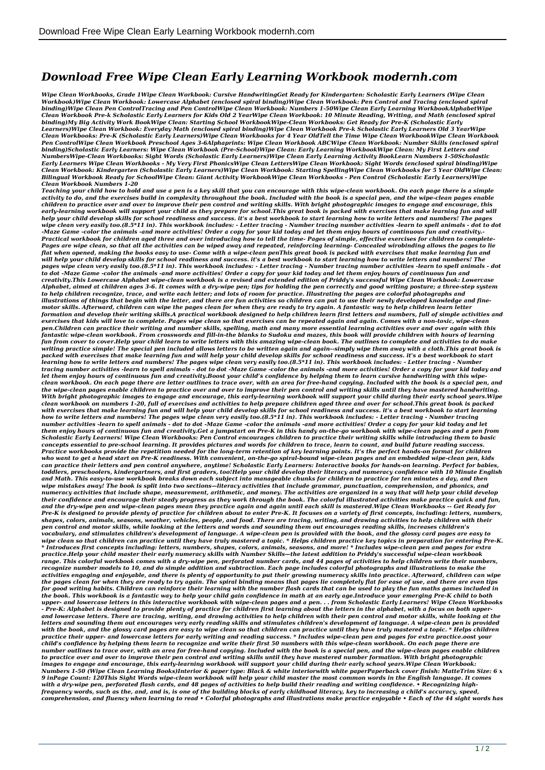## *Download Free Wipe Clean Early Learning Workbook modernh.com*

*Wipe Clean Workbooks, Grade 1Wipe Clean Workbook: Cursive HandwritingGet Ready for Kindergarten: Scholastic Early Learners (Wipe Clean* Workbook)Wipe Clean Workbook: Lowercase Alphabet (enclosed spiral binding)Wipe Clean Workbook: Pen Control and Tracing (enclosed spiral<br>binding)Wipe Clean Pen ControlTracing and Pen ControlWipe Clean Workbook: Numbers 1-50 *Clean Workbook Pre-k Scholastic Early Learners for Kids Old 2 YearWipe Clean Workbook: 10 Minute Reading, Writing, and Math (enclosed spiral* binding)My Big Activity Work BookWipe Clean: Starting School WorkbookWipe-Clean Workbooks: Get Ready for Pre-K (Scholastic Early<br>Learners)Wipe Clean Workbook: Everyday Math (enclosed spiral binding)Wipe Clean Workbook Pre-*Clean Workbooks: Pre-K (Scholastic Early Learners)Wipe Clean Workbooks for 4 Year OldTell the Time Wipe Clean WorkbookWipe Clean Workbook Pen ControlWipe Clean Workbook Preschool Ages 3-6Alphaprints: Wipe Clean Workbook ABCWipe Clean Workbook: Number Skills (enclosed spiral binding)Scholastic Early Learners: Wipe Clean Workbook (Pre-School)Wipe Clean: Early Learning WorkbookWipe Clean: My First Letters and NumbersWipe-Clean Workbooks: Sight Words (Scholastic Early Learners)Wipe Clean Early Learning Activity BookLearn Numbers 1-50Scholastic Early Learners Wipe Clean Workbooks - My Very First PhonicsWipe Clean LettersWipe Clean Workbook: Sight Words (enclosed spiral binding)Wipe Clean Workbook: Kindergarten (Scholastic Early Learners)Wipe Clean Workbook: Starting SpellingWipe Clean Workbooks for 5 Year OldWipe Clean: Bilingual Workbook Ready for SchoolWipe Clean: Giant Activity WorkbookWipe Clean Workbooks - Pen Control (Scholastic Early Learners)Wipe Clean Workbook Numbers 1-20*

*Teaching your child how to hold and use a pen is a key skill that you can encourage with this wipe-clean workbook. On each page there is a simple activity to do, and the exercises build in complexity throughout the book. Included with the book is a special pen, and the wipe-clean pages enable children to practice over and over to improve their pen control and writing skills. With bright photographic images to engage and encourage, this early-learning workbook will support your child as they prepare for school.This great book is packed with exercises that make learning fun and will help your child develop skills for school readiness and success. it's a best workbook to start learning how to write letters and numbers! The pages* wipe clean very easily too.(8.5\*11 in). This workbook includes: - Letter tracing - Number tracing number activities -learn to spell animals - dot to dot<br>-Maze Game -color the animals -and more activities! Order a copy for *Pages are wipe clean, so that all the activities can be wiped away and repeated, reinforcing learning- Concealed wirobinding allows the pages to lie flat when opened, making the books easy to use- Come with a wipe-clean penThis great book is packed with exercises that make learning fun and will help your child develop skills for school readiness and success. it's a best workbook to start learning how to write letters and numbers! The* pages wipe clean very easily too.(8.5\*11 in). This workbook includes: - Letter tracing - Number tracing number activities -learn to spell animals - dot<br>to dot -Maze Game -color the animals -and more activities! Order a cop Alphabet, aimed at children ages 3-6. It comes with a dry-wipe pen; tips for holding the pen correctly and good writing posture; a three-step system<br>to help children recognize, trace, and write each letter; and lots of roo *motor skills. Afterward, children can wipe the pages clean for when they are ready to try again. A fantastic way to help children learn letter formation and develop their writing skills.A practical workbook designed to help children learn first letters and numbers, full of simple activities and exercises that kids will love to complete. Pages wipe clean so that exercises can be repeated again and again. Comes with a non-toxic, wipe-clean pen.Children can practice their writing and number skills, spelling, math and many more essential learning activities over and over again with this* fantastic wipe-clean workbook. From crosswords and fill-in-the blanks to Sudoku and mazes, this book will provide children with hours of learning<br>fun from cover to cover.Help your child learn to write letters with this ama *writing practice simple! The special pen included allows letters to be written again and again--simply wipe them away with a cloth.This great book is* packed with exercises that make learning fun and will help your child develop skills for school readiness and success. it's a best workbook to start<br>learning how to write letters and numbers! The pages wipe clean very easi *tracing number activities -learn to spell animals - dot to dot -Maze Game -color the animals -and more activities! Order a copy for your kid today and let them enjoy hours of continuous fun and creativity.Boost your child's confidence by helping them to learn cursive handwriting with this wipeclean workbook. On each page there are letter outlines to trace over, with an area for free-hand copying. Included with the book is a special pen, and the wipe-clean pages enable children to practice over and over to improve their pen control and writing skills until they have mastered handwriting.* With bright photographic images to engage and encourage, this early-learning workbook will support your child during their early school years.Wipe<br>clean workbook on numbers 1-20, full of exercises and activities to help pr *with exercises that make learning fun and will help your child develop skills for school readiness and success. it's a best workbook to start learning* how to write letters and numbers! The pages wipe clean very easily too.(8.5\*11 in). This workbook includes: - Letter tracing - Number tracing<br>number activities -learn to spell animals - dot to dot -Maze Game -color the ani *them enjoy hours of continuous fun and creativity.Get a jumpstart on Pre-K in this handy on-the-go workbook with wipe-clean pages and a pen from* Scholastic Early Learners! Wipe Clean Workbooks: Pen Control encourages children to practice their writing skills while introducing them to basic<br>concepts essential to pre-school learning. It provides pictures and words fo *Practice workbooks provide the repetition needed for the long-term retention of key learning points. It's the perfect hands-on format for children* who want to get a head start on Pre-K readiness. With convenient, on-the-go spiral-bound wipe-clean pages and an embedded wipe-clean pen, kids<br>can practice their letters and pen control anywhere, anytime! Scholastic Early *toddlers, preschoolers, kindergartners, and first graders, too!Help your child develop their literacy and numeracy confidence with 10 Minute English and Math. This easy-to-use workbook breaks down each subject into manageable chunks for children to practice for ten minutes a day, and then wipe mistakes away! The book is split into two sections—literacy activities that include grammar, punctuation, comprehension, and phonics, and numeracy activities that include shape, measurement, arithmetic, and money. The activities are organized in a way that will help your child develop their confidence and encourage their steady progress as they work through the book. The colorful illustrated activities make practice quick and fun, and the dry-wipe pen and wipe-clean pages mean they practice again and again until each skill is mastered.Wipe Clean Workbooks -- Get Ready for Pre-K is designed to provide plenty of practice for children about to enter Pre-K. It focuses on a variety of first concepts, including: letters, numbers, shapes, colors, animals, seasons, weather, vehicles, people, and food. There are tracing, writing, and drawing activities to help children with their pen control and motor skills, while looking at the letters and words and sounding them out encourages reading skills, increases children's vocabulary, and stimulates children's development of language. A wipe-clean pen is provided with the book, and the glossy card pages are easy to* wipe clean so that children can practice until they have truly mastered a topic. \* Helps children practice key topics in preparation for entering Pre-K.<br>\* Introduces first concepts including: letters, numbers, shapes, colo *range. This colorful workbook comes with a dry-wipe pen, perforated number cards, and 44 pages of activities to help children write their numbers, recognize number models to 10, and do simple addition and subtraction. Each page includes colorful photographs and illustrations to make the activities engaging and enjoyable, and there is plenty of opportunity to put their growing numeracy skills into practice. Afterward, children can wipe the pages clean for when they are ready to try again. The spiral binding means that pages lie completely flat for ease of use, and there are even tips* for good writing habits. Children can reinforce their learning with the number flash cards that can be used to play the fun maths games included in<br>the book. This workbook is a fantastic way to help your child gain confide upper- and lowercase letters in this interactive workbook with wipe-clean pages and a pen. . . from Scholastic Early Learners! Wipe Clean Workbooks<br>- Pre-K: Alphabet is designed to provide plenty of practice for children f letters and sounding them out encourages very early reading skills and stimulates children's development of language. A wipe-clean pen is provided<br>with the book, and the glossy card pages are easy to wipe clean so that chi *child's confidence by helping them learn to recognize and write their first 50 numbers with this wipe-clean workbook. On each page there are* number outlines to trace over, with an area for free-hand copying. Included with the book is a special pen, and the wipe-clean pages enable children<br>to practice over and over to improve their pen control and writing skills *images to engage and encourage, this early-learning workbook will support your child during their early school years.Wipe Clean Workbook:* Numbers 1-50 (Wipe Clean Learning Books)Interior & paper type: Black & white interiorwith white paperPaperback cover finish: MatteTrim Size: 6 x<br>9 inPage Count: 120This Sight Words wipe-clean workbook will help your child frequency words, such as the, and, and is, is one of the building blocks of early childhood literacy, key to increasing a child's accuracy, speed,<br>comprehension, and fluency when learning to read • Colorful photographs and